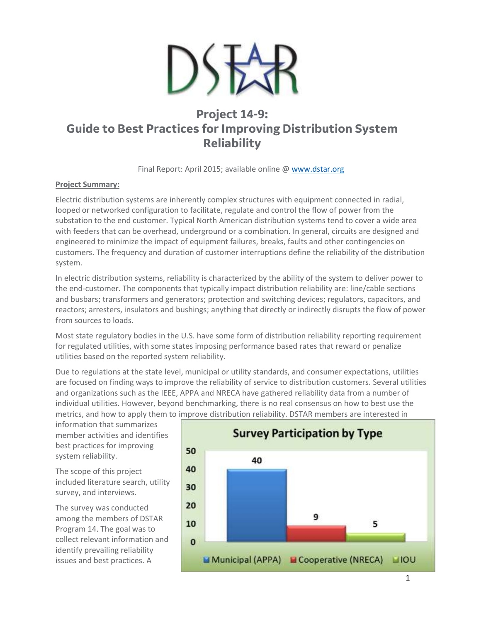

# **Project 14-9: Guide to Best Practices for Improving Distribution System Reliability**

Final Report: April 2015; available online @ [www.dstar.org](http://www.dstar.org/research/deliverable/195/p14-9-reliability-best-practice-final-report)

## **Project Summary:**

Electric distribution systems are inherently complex structures with equipment connected in radial, looped or networked configuration to facilitate, regulate and control the flow of power from the substation to the end customer. Typical North American distribution systems tend to cover a wide area with feeders that can be overhead, underground or a combination. In general, circuits are designed and engineered to minimize the impact of equipment failures, breaks, faults and other contingencies on customers. The frequency and duration of customer interruptions define the reliability of the distribution system.

In electric distribution systems, reliability is characterized by the ability of the system to deliver power to the end-customer. The components that typically impact distribution reliability are: line/cable sections and busbars; transformers and generators; protection and switching devices; regulators, capacitors, and reactors; arresters, insulators and bushings; anything that directly or indirectly disrupts the flow of power from sources to loads.

Most state regulatory bodies in the U.S. have some form of distribution reliability reporting requirement for regulated utilities, with some states imposing performance based rates that reward or penalize utilities based on the reported system reliability.

Due to regulations at the state level, municipal or utility standards, and consumer expectations, utilities are focused on finding ways to improve the reliability of service to distribution customers. Several utilities and organizations such as the IEEE, APPA and NRECA have gathered reliability data from a number of individual utilities. However, beyond benchmarking, there is no real consensus on how to best use the metrics, and how to apply them to improve distribution reliability. DSTAR members are interested in

information that summarizes member activities and identifies best practices for improving system reliability.

The scope of this project included literature search, utility survey, and interviews.

The survey was conducted among the members of DSTAR Program 14. The goal was to collect relevant information and identify prevailing reliability issues and best practices. A